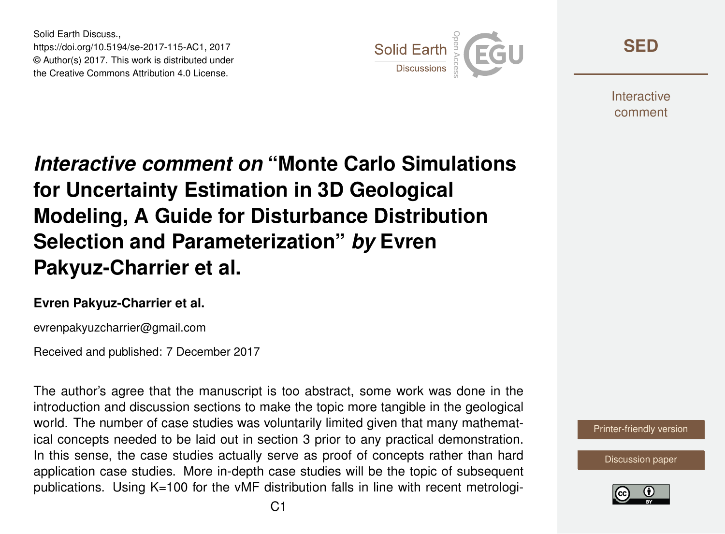Solid Earth Discuss., https://doi.org/10.5194/se-2017-115-AC1, 2017 © Author(s) 2017. This work is distributed under the Creative Commons Attribution 4.0 License.



**[SED](https://www.solid-earth-discuss.net/)**

**Interactive** comment

## *Interactive comment on* **"Monte Carlo Simulations for Uncertainty Estimation in 3D Geological Modeling, A Guide for Disturbance Distribution Selection and Parameterization"** *by* **Evren Pakyuz-Charrier et al.**

## **Evren Pakyuz-Charrier et al.**

evrenpakyuzcharrier@gmail.com

Received and published: 7 December 2017

The author's agree that the manuscript is too abstract, some work was done in the introduction and discussion sections to make the topic more tangible in the geological world. The number of case studies was voluntarily limited given that many mathematical concepts needed to be laid out in section 3 prior to any practical demonstration. In this sense, the case studies actually serve as proof of concepts rather than hard application case studies. More in-depth case studies will be the topic of subsequent publications. Using K=100 for the vMF distribution falls in line with recent metrologi-



[Discussion paper](https://www.solid-earth-discuss.net/se-2017-115)